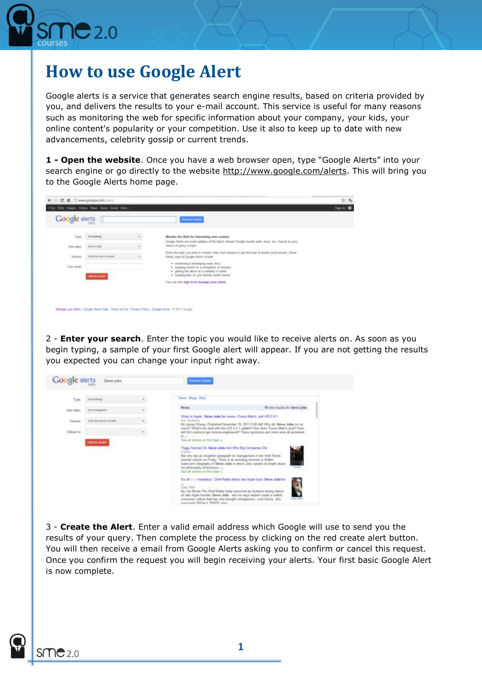

## **How to use Google Alert**

Google alerts is a service that generates search engine results, based on criteria provided by you, and delivers the results to your e-mail account. This service is useful for many reasons such as monitoring the web for specific information about your company, your kids, your online content's popularity or your competition. Use it also to keep up to date with new advancements, celebrity gossip or current trends.

**1 - Open the website**. Once you have a web browser open, type "Google Alerts" into your search engine or go directly to the website [http://www.google.com/alerts.](http://www.google.com/alerts) This will bring you to the Google Alerts home page.

| <b>Google</b> alerts |                       |    | <b>President consider</b>                                                                                                                                                                 |  |
|----------------------|-----------------------|----|-------------------------------------------------------------------------------------------------------------------------------------------------------------------------------------------|--|
| 7 ppm                | Everything            | ۳. | Monitor the Web for interesting new content.<br>Dougla Alecto are email updates of the State relevant Google results (seek, news, etc.) based on your                                     |  |
| Flow office:         | Denna is slau-        |    | shalos of query or teals.                                                                                                                                                                 |  |
| Volume:              | Deb the Seat results  |    | Either this topic you wish to mondar, then click pressure to use the type of results you'll necess. Some<br>Instally used of Google Alarts include:                                       |  |
| Toy and              | <b>CHEATE ALCOHOL</b> |    | · maniferryg a developing news stary.<br>. Keeping current on a compatible in industry<br>· getting the latest on a Lefelshiry or event<br>. Trenging tabs sin your favorby sports teams: |  |
|                      |                       |    | You can also sign in to manage your afterty                                                                                                                                               |  |
|                      |                       |    |                                                                                                                                                                                           |  |

2 - **Enter your search**. Enter the topic you would like to receive alerts on. As soon as you begin typing, a sample of your first Google alert will appear. If you are not getting the results you expected you can change your input right away.

| As it because<br>How often                                                    | 10 now results for Steve jobs.<br><b>Moves</b>                                                                                                                                                                                                                                                                                                                                                                                                                    |
|-------------------------------------------------------------------------------|-------------------------------------------------------------------------------------------------------------------------------------------------------------------------------------------------------------------------------------------------------------------------------------------------------------------------------------------------------------------------------------------------------------------------------------------------------------------|
|                                                                               |                                                                                                                                                                                                                                                                                                                                                                                                                                                                   |
| Doly the best results<br>Valuese<br>۳.<br>Daliver to:<br><b>CHEATE ALIFER</b> | Week in Apple: Steve Jobs bis review, (Tunes Match, and iOS 5.6.1)<br>An Technica<br>By Jacqui Chang   Published November 19, 2011 9:00 AM Why did Steve Jobs cry se<br>much? What's the deal with the iOS 5.0.1 update? How does (Tune's Match site)? How<br>the Swis protocol get inverse-engineered? These questions and more were all annivered<br>Window<br>See all stores on this topic +<br>Peggy Noonan On Steve Jobs And Why Big Companies Die<br>Follow |
|                                                                               | But she has an insightful paragraph on management in her Wall Street.<br>Journal column on Friday. There is an arresting increast in Walter<br>lusacson's biography of Steve Jobs in which Jobs speaks at length about<br>Fortune.<br>his philosophy of business.<br>See all stones on this topic a<br>Th all i. L i novadays' Chief Rabbi Stants late Apple been Steve John for<br>$\sim$                                                                        |

3 - **Create the Alert**. Enter a valid email address which Google will use to send you the results of your query. Then complete the process by clicking on the red create alert button. You will then receive a email from Google Alerts asking you to confirm or cancel this request. Once you confirm the request you will begin receiving your alerts. Your first basic Google Alert is now complete.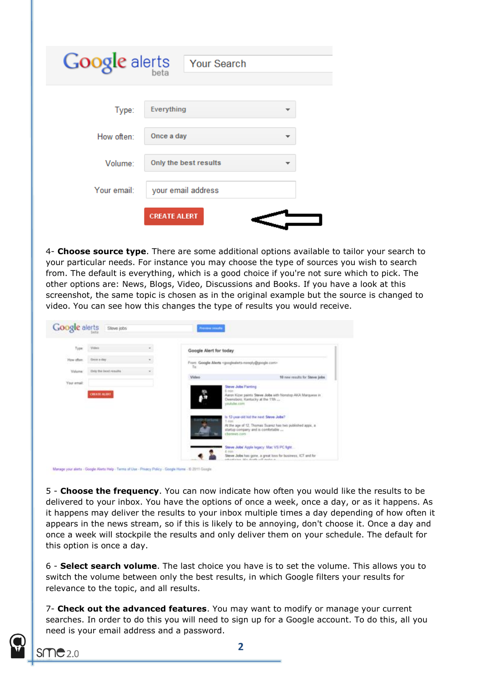| Google alerts | <b>Your Search</b>    |
|---------------|-----------------------|
| Type:         | Everything            |
| How often:    | Once a day            |
| Volume:       | Only the best results |
| Your email:   | your email address    |
|               | <b>CREATE ALERT</b>   |

4- **Choose source type**. There are some additional options available to tailor your search to your particular needs. For instance you may choose the type of sources you wish to search from. The default is everything, which is a good choice if you're not sure which to pick. The other options are: News, Blogs, Video, Discussions and Books. If you have a look at this screenshot, the same topic is chosen as in the original example but the source is changed to video. You can see how this changes the type of results you would receive.

| Type        | Video                 |   | Google Alert for today |                                                                                                                |
|-------------|-----------------------|---|------------------------|----------------------------------------------------------------------------------------------------------------|
| How offers: | Drew a dire           |   |                        | From: Google Alerta «pooglealerts-nimply@google.com»                                                           |
| Volume:     | Only the best results | ٠ | Tu                     |                                                                                                                |
| Your email: |                       |   | Video                  | 10 new results for Steve Jobs                                                                                  |
|             | <b>OBATE ALBEE</b>    |   |                        | Aaron Kizer paints Steve Jobs with Norstop AICA Marquese m<br>Deensboro, Kentucky at the 11th<br>youtube com   |
|             |                       |   | 1 min                  | Is 12-year-old kid the next Steve Jobs?                                                                        |
|             |                       |   |                        | At the age of 12. Thomas Suarez has two published apps, a<br>startup company and is comfortable<br>channes com |
|             |                       |   |                        | Steve Jobs' Apple legacy: Mac VS PC fight                                                                      |
|             |                       |   | 4 min                  |                                                                                                                |

5 - **Choose the frequency**. You can now indicate how often you would like the results to be delivered to your inbox. You have the options of once a week, once a day, or as it happens. As it happens may deliver the results to your inbox multiple times a day depending of how often it appears in the news stream, so if this is likely to be annoying, don't choose it. Once a day and once a week will stockpile the results and only deliver them on your schedule. The default for this option is once a day.

6 - **Select search volume**. The last choice you have is to set the volume. This allows you to switch the volume between only the best results, in which Google filters your results for relevance to the topic, and all results.

7- **Check out the advanced features**. You may want to modify or manage your current searches. In order to do this you will need to sign up for a Google account. To do this, all you need is your email address and a password.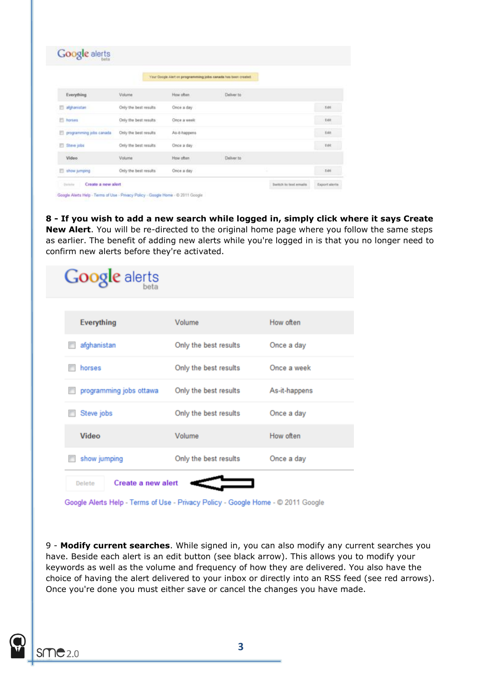|                         |                       | Your Google Alert on programming jobs canada has been created. |                    |             |
|-------------------------|-----------------------|----------------------------------------------------------------|--------------------|-------------|
| Everything              | <b>Volume</b>         | How often                                                      | Deliver to         |             |
| <b>El alphanistan</b>   | Only the best results | Once a day                                                     |                    | Edit        |
| <b>ES</b> horses        | Only the best results | Once a week                                                    |                    | Edit        |
| programming jobs canada | Only the best results | As-8-happens                                                   |                    | Edit        |
| Steve jobs              | Only the best results | Once a day                                                     |                    | Edit.       |
| Video                   | Volume                | How often                                                      | Deliver to<br>eram |             |
| ahow jumping            | Only the best results | Once a day                                                     |                    | <b>Edit</b> |

**8 - If you wish to add a new search while logged in, simply click where it says Create New Alert**. You will be re-directed to the original home page where you follow the same steps as earlier. The benefit of adding new alerts while you're logged in is that you no longer need to confirm new alerts before they're activated.

| Google alerts                |                       |               |
|------------------------------|-----------------------|---------------|
| Everything                   | Volume                | How often     |
| afghanistan                  | Only the best results | Once a day    |
| horses                       | Only the best results | Once a week   |
| programming jobs ottawa      | Only the best results | As-it-happens |
| Steve jobs                   | Only the best results | Once a day    |
| <b>Video</b>                 | Volume                | How often     |
| show jumping                 | Only the best results | Once a day    |
| Create a new alert<br>Delete |                       |               |

Google Alerts Help - Terms of Use - Privacy Policy - Google Home - @ 2011 Google

9 - **Modify current searches**. While signed in, you can also modify any current searches you have. Beside each alert is an edit button (see black arrow). This allows you to modify your keywords as well as the volume and frequency of how they are delivered. You also have the choice of having the alert delivered to your inbox or directly into an RSS feed (see red arrows). Once you're done you must either save or cancel the changes you have made.